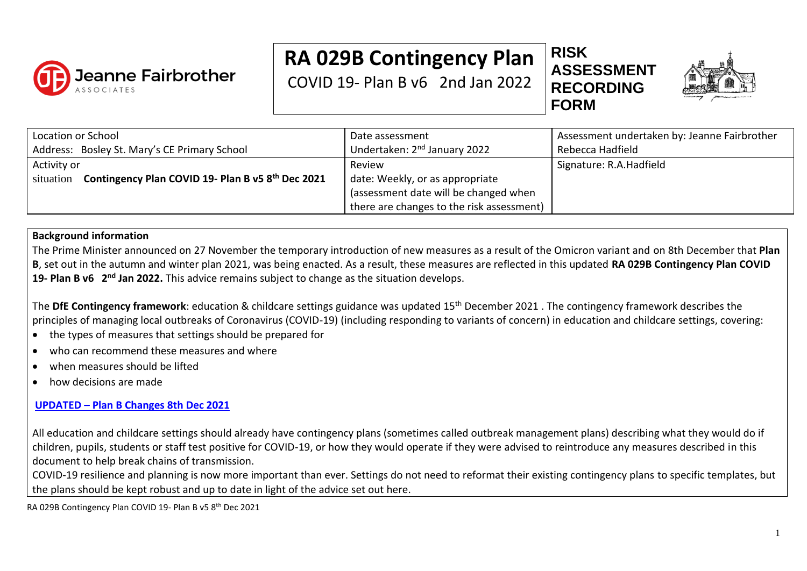

# **RA 029B Contingency Plan**

COVID 19- Plan B v6 2nd Jan 2022

**RISK ASSESSMENT RECORDING FORM**



| Location or School<br>Address: Bosley St. Mary's CE Primary School            | Date assessment<br>Undertaken: 2 <sup>nd</sup> January 2022                        | Assessment undertaken by: Jeanne Fairbrother<br>Rebecca Hadfield |
|-------------------------------------------------------------------------------|------------------------------------------------------------------------------------|------------------------------------------------------------------|
| Activity or<br>Contingency Plan COVID 19- Plan B v5 8th Dec 2021<br>situation | Review<br>date: Weekly, or as appropriate<br>(assessment date will be changed when | Signature: R.A. Hadfield                                         |
|                                                                               | there are changes to the risk assessment)                                          |                                                                  |

### **Background information**

The Prime Minister announced on 27 November the temporary introduction of new measures as a result of the Omicron variant and on 8th December that **Plan B**, set out in the autumn and winter plan 2021, was being enacted. As a result, these measures are reflected in this updated **RA 029B Contingency Plan COVID**  19- Plan B v6 2<sup>nd</sup> Jan 2022. This advice remains subject to change as the situation develops.

The **DfE Contingency framework**: education & childcare settings guidance was updated 15th December 2021 . The contingency framework describes the principles of managing local outbreaks of Coronavirus (COVID-19) (including responding to variants of concern) in education and childcare settings, covering:

- the types of measures that settings should be prepared for
- who can recommend these measures and where
- when measures should be lifted
- how decisions are made

## **UPDATED – [Plan B Changes](https://assets.publishing.service.gov.uk/government/uploads/system/uploads/attachment_data/file/1039583/2021206_Schools_guidance_Omicron_review_-_FINAL.pdf) 8th Dec 2021**

All education and childcare settings should already have contingency plans (sometimes called outbreak management plans) describing what they would do if children, pupils, students or staff test positive for COVID-19, or how they would operate if they were advised to reintroduce any measures described in this document to help break chains of transmission.

COVID-19 resilience and planning is now more important than ever. Settings do not need to reformat their existing contingency plans to specific templates, but the plans should be kept robust and up to date in light of the advice set out here.

RA 029B Contingency Plan COVID 19- Plan B v5 8th Dec 2021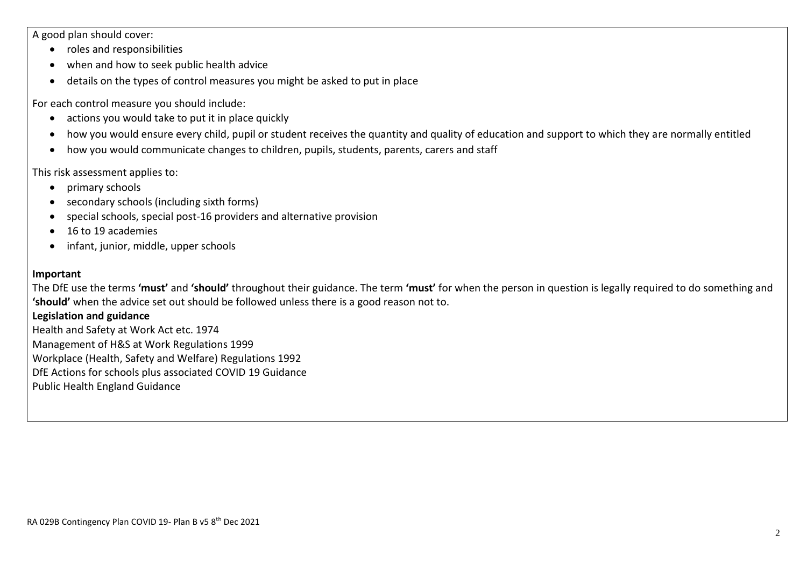A good plan should cover:

- roles and responsibilities
- when and how to seek public health advice
- details on the types of control measures you might be asked to put in place

For each control measure you should include:

- actions you would take to put it in place quickly
- how you would ensure every child, pupil or student receives the quantity and quality of education and support to which they are normally entitled
- how you would communicate changes to children, pupils, students, parents, carers and staff

This risk assessment applies to:

- primary schools
- secondary schools (including sixth forms)
- special schools, special post-16 providers and alternative provision
- 16 to 19 academies
- infant, junior, middle, upper schools

#### **Important**

The DfE use the terms **'must'** and **'should'** throughout their guidance. The term **'must'** for when the person in question is legally required to do something and **'should'** when the advice set out should be followed unless there is a good reason not to.

#### **Legislation and guidance**

Health and Safety at Work Act etc. 1974 Management of H&S at Work Regulations 1999 Workplace (Health, Safety and Welfare) Regulations 1992 DfE Actions for schools plus associated COVID 19 Guidance Public Health England Guidance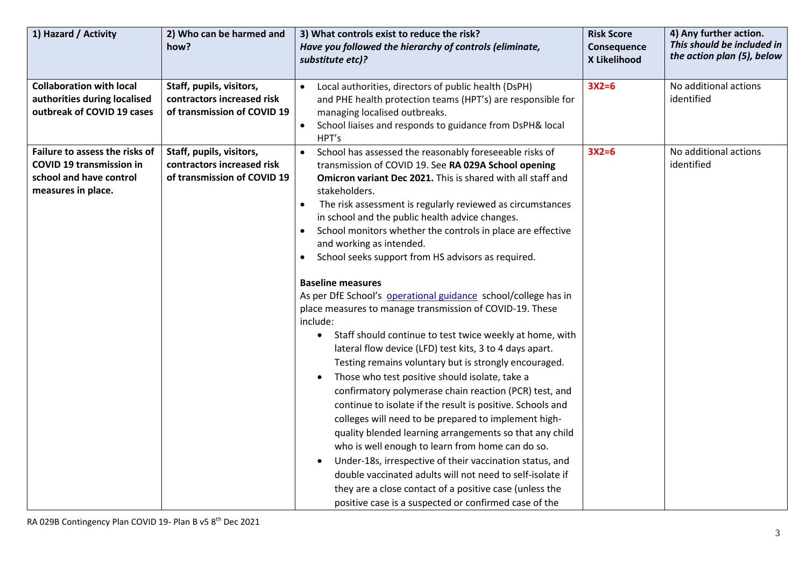| 1) Hazard / Activity                                                                                               | 2) Who can be harmed and<br>how?                                                      | 3) What controls exist to reduce the risk?<br>Have you followed the hierarchy of controls (eliminate,<br>substitute etc)?                                                                                                                                                                                                                                                                                                                                                                                                                                                                                                                                                                                                                                                                                                                                                                                                                                                                                                                                                                                                                                                                                                                                                                                                                                                                                                                                                 | <b>Risk Score</b><br>Consequence<br>X Likelihood | 4) Any further action.<br>This should be included in<br>the action plan (5), below |
|--------------------------------------------------------------------------------------------------------------------|---------------------------------------------------------------------------------------|---------------------------------------------------------------------------------------------------------------------------------------------------------------------------------------------------------------------------------------------------------------------------------------------------------------------------------------------------------------------------------------------------------------------------------------------------------------------------------------------------------------------------------------------------------------------------------------------------------------------------------------------------------------------------------------------------------------------------------------------------------------------------------------------------------------------------------------------------------------------------------------------------------------------------------------------------------------------------------------------------------------------------------------------------------------------------------------------------------------------------------------------------------------------------------------------------------------------------------------------------------------------------------------------------------------------------------------------------------------------------------------------------------------------------------------------------------------------------|--------------------------------------------------|------------------------------------------------------------------------------------|
| <b>Collaboration with local</b><br>authorities during localised<br>outbreak of COVID 19 cases                      | Staff, pupils, visitors,<br>contractors increased risk<br>of transmission of COVID 19 | Local authorities, directors of public health (DsPH)<br>and PHE health protection teams (HPT's) are responsible for<br>managing localised outbreaks.<br>School liaises and responds to guidance from DsPH& local<br>$\bullet$<br>HPT's                                                                                                                                                                                                                                                                                                                                                                                                                                                                                                                                                                                                                                                                                                                                                                                                                                                                                                                                                                                                                                                                                                                                                                                                                                    | $3X2=6$                                          | No additional actions<br>identified                                                |
| Failure to assess the risks of<br><b>COVID 19 transmission in</b><br>school and have control<br>measures in place. | Staff, pupils, visitors,<br>contractors increased risk<br>of transmission of COVID 19 | School has assessed the reasonably foreseeable risks of<br>$\bullet$<br>transmission of COVID 19. See RA 029A School opening<br>Omicron variant Dec 2021. This is shared with all staff and<br>stakeholders.<br>The risk assessment is regularly reviewed as circumstances<br>$\bullet$<br>in school and the public health advice changes.<br>School monitors whether the controls in place are effective<br>and working as intended.<br>School seeks support from HS advisors as required.<br><b>Baseline measures</b><br>As per DfE School's operational guidance school/college has in<br>place measures to manage transmission of COVID-19. These<br>include:<br>Staff should continue to test twice weekly at home, with<br>$\bullet$<br>lateral flow device (LFD) test kits, 3 to 4 days apart.<br>Testing remains voluntary but is strongly encouraged.<br>Those who test positive should isolate, take a<br>confirmatory polymerase chain reaction (PCR) test, and<br>continue to isolate if the result is positive. Schools and<br>colleges will need to be prepared to implement high-<br>quality blended learning arrangements so that any child<br>who is well enough to learn from home can do so.<br>Under-18s, irrespective of their vaccination status, and<br>$\bullet$<br>double vaccinated adults will not need to self-isolate if<br>they are a close contact of a positive case (unless the<br>positive case is a suspected or confirmed case of the | $3X2=6$                                          | No additional actions<br>identified                                                |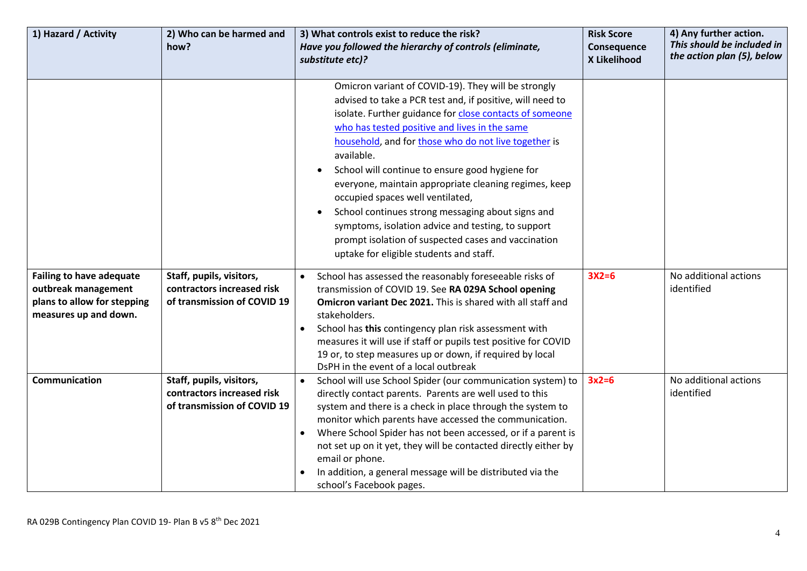| 1) Hazard / Activity                                                                                           | 2) Who can be harmed and<br>how?                                                      | 3) What controls exist to reduce the risk?<br>Have you followed the hierarchy of controls (eliminate,                                                                                                                                                                                                                                                                                                                                                                                                                                                                                                                                                           | <b>Risk Score</b><br>Consequence | 4) Any further action.<br>This should be included in<br>the action plan (5), below |
|----------------------------------------------------------------------------------------------------------------|---------------------------------------------------------------------------------------|-----------------------------------------------------------------------------------------------------------------------------------------------------------------------------------------------------------------------------------------------------------------------------------------------------------------------------------------------------------------------------------------------------------------------------------------------------------------------------------------------------------------------------------------------------------------------------------------------------------------------------------------------------------------|----------------------------------|------------------------------------------------------------------------------------|
|                                                                                                                |                                                                                       | substitute etc)?                                                                                                                                                                                                                                                                                                                                                                                                                                                                                                                                                                                                                                                | X Likelihood                     |                                                                                    |
|                                                                                                                |                                                                                       | Omicron variant of COVID-19). They will be strongly<br>advised to take a PCR test and, if positive, will need to<br>isolate. Further guidance for close contacts of someone<br>who has tested positive and lives in the same<br>household, and for those who do not live together is<br>available.<br>School will continue to ensure good hygiene for<br>everyone, maintain appropriate cleaning regimes, keep<br>occupied spaces well ventilated,<br>School continues strong messaging about signs and<br>symptoms, isolation advice and testing, to support<br>prompt isolation of suspected cases and vaccination<br>uptake for eligible students and staff. |                                  |                                                                                    |
| <b>Failing to have adequate</b><br>outbreak management<br>plans to allow for stepping<br>measures up and down. | Staff, pupils, visitors,<br>contractors increased risk<br>of transmission of COVID 19 | School has assessed the reasonably foreseeable risks of<br>transmission of COVID 19. See RA 029A School opening<br>Omicron variant Dec 2021. This is shared with all staff and<br>stakeholders.<br>School has this contingency plan risk assessment with<br>$\bullet$<br>measures it will use if staff or pupils test positive for COVID<br>19 or, to step measures up or down, if required by local<br>DsPH in the event of a local outbreak                                                                                                                                                                                                                   | $3X2=6$                          | No additional actions<br>identified                                                |
| Communication                                                                                                  | Staff, pupils, visitors,<br>contractors increased risk<br>of transmission of COVID 19 | School will use School Spider (our communication system) to<br>$\bullet$<br>directly contact parents. Parents are well used to this<br>system and there is a check in place through the system to<br>monitor which parents have accessed the communication.<br>Where School Spider has not been accessed, or if a parent is<br>not set up on it yet, they will be contacted directly either by<br>email or phone.<br>In addition, a general message will be distributed via the<br>school's Facebook pages.                                                                                                                                                     | $3x2=6$                          | No additional actions<br>identified                                                |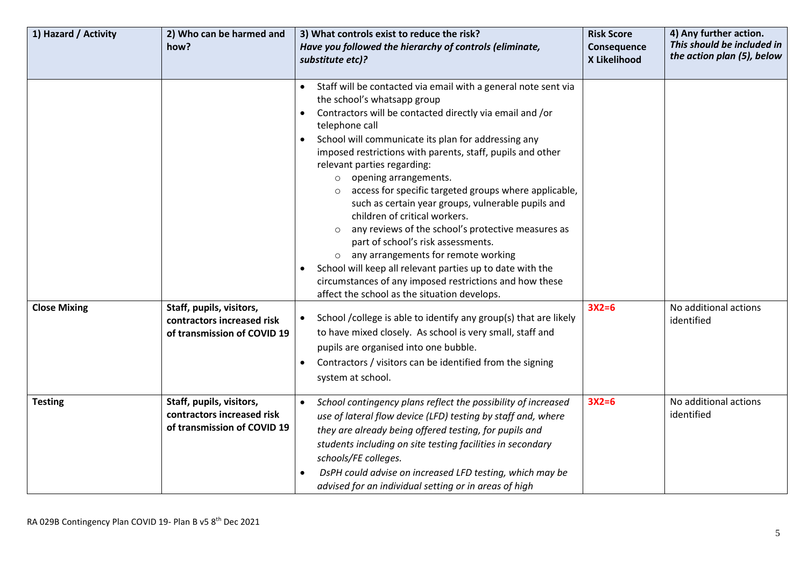| 1) Hazard / Activity | 2) Who can be harmed and<br>how?                                                      | 3) What controls exist to reduce the risk?<br>Have you followed the hierarchy of controls (eliminate,<br>substitute etc)?                                                                                                                                                                                                                                                                                                                                                                                                                                                                                                                                                                                                                                                                                                                                                                                                                                                                                                                                                             | <b>Risk Score</b><br>Consequence<br>X Likelihood | 4) Any further action.<br>This should be included in<br>the action plan (5), below |
|----------------------|---------------------------------------------------------------------------------------|---------------------------------------------------------------------------------------------------------------------------------------------------------------------------------------------------------------------------------------------------------------------------------------------------------------------------------------------------------------------------------------------------------------------------------------------------------------------------------------------------------------------------------------------------------------------------------------------------------------------------------------------------------------------------------------------------------------------------------------------------------------------------------------------------------------------------------------------------------------------------------------------------------------------------------------------------------------------------------------------------------------------------------------------------------------------------------------|--------------------------------------------------|------------------------------------------------------------------------------------|
| <b>Close Mixing</b>  | Staff, pupils, visitors,<br>contractors increased risk<br>of transmission of COVID 19 | Staff will be contacted via email with a general note sent via<br>$\bullet$<br>the school's whatsapp group<br>Contractors will be contacted directly via email and /or<br>telephone call<br>School will communicate its plan for addressing any<br>imposed restrictions with parents, staff, pupils and other<br>relevant parties regarding:<br>opening arrangements.<br>$\circ$<br>access for specific targeted groups where applicable,<br>such as certain year groups, vulnerable pupils and<br>children of critical workers.<br>any reviews of the school's protective measures as<br>part of school's risk assessments.<br>o any arrangements for remote working<br>School will keep all relevant parties up to date with the<br>circumstances of any imposed restrictions and how these<br>affect the school as the situation develops.<br>School / college is able to identify any group(s) that are likely<br>to have mixed closely. As school is very small, staff and<br>pupils are organised into one bubble.<br>Contractors / visitors can be identified from the signing | $3X2=6$                                          | No additional actions<br>identified                                                |
|                      |                                                                                       | system at school.                                                                                                                                                                                                                                                                                                                                                                                                                                                                                                                                                                                                                                                                                                                                                                                                                                                                                                                                                                                                                                                                     |                                                  |                                                                                    |
| <b>Testing</b>       | Staff, pupils, visitors,<br>contractors increased risk<br>of transmission of COVID 19 | School contingency plans reflect the possibility of increased<br>$\bullet$<br>use of lateral flow device (LFD) testing by staff and, where<br>they are already being offered testing, for pupils and<br>students including on site testing facilities in secondary<br>schools/FE colleges.<br>DsPH could advise on increased LFD testing, which may be<br>advised for an individual setting or in areas of high                                                                                                                                                                                                                                                                                                                                                                                                                                                                                                                                                                                                                                                                       | $3X2=6$                                          | No additional actions<br>identified                                                |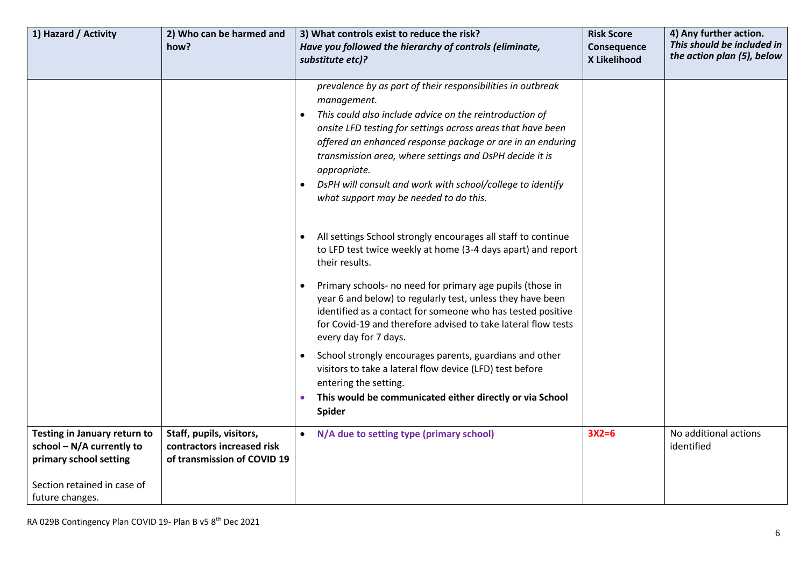| 1) Hazard / Activity                                                                                                | 2) Who can be harmed and                                                              | 3) What controls exist to reduce the risk?                                                                                                                                                                                                                                                                                                                                                                                                            | <b>Risk Score</b>           | 4) Any further action.<br>This should be included in |
|---------------------------------------------------------------------------------------------------------------------|---------------------------------------------------------------------------------------|-------------------------------------------------------------------------------------------------------------------------------------------------------------------------------------------------------------------------------------------------------------------------------------------------------------------------------------------------------------------------------------------------------------------------------------------------------|-----------------------------|------------------------------------------------------|
|                                                                                                                     | how?                                                                                  | Have you followed the hierarchy of controls (eliminate,<br>substitute etc)?                                                                                                                                                                                                                                                                                                                                                                           | Consequence<br>X Likelihood | the action plan (5), below                           |
|                                                                                                                     |                                                                                       |                                                                                                                                                                                                                                                                                                                                                                                                                                                       |                             |                                                      |
|                                                                                                                     |                                                                                       | prevalence by as part of their responsibilities in outbreak<br>management.<br>This could also include advice on the reintroduction of<br>onsite LFD testing for settings across areas that have been<br>offered an enhanced response package or are in an enduring<br>transmission area, where settings and DsPH decide it is<br>appropriate.<br>DsPH will consult and work with school/college to identify<br>what support may be needed to do this. |                             |                                                      |
|                                                                                                                     |                                                                                       | All settings School strongly encourages all staff to continue<br>to LFD test twice weekly at home (3-4 days apart) and report<br>their results.<br>Primary schools- no need for primary age pupils (those in<br>year 6 and below) to regularly test, unless they have been<br>identified as a contact for someone who has tested positive<br>for Covid-19 and therefore advised to take lateral flow tests<br>every day for 7 days.                   |                             |                                                      |
|                                                                                                                     |                                                                                       | School strongly encourages parents, guardians and other<br>$\bullet$<br>visitors to take a lateral flow device (LFD) test before<br>entering the setting.<br>This would be communicated either directly or via School<br><b>Spider</b>                                                                                                                                                                                                                |                             |                                                      |
| Testing in January return to<br>school $-N/A$ currently to<br>primary school setting<br>Section retained in case of | Staff, pupils, visitors,<br>contractors increased risk<br>of transmission of COVID 19 | N/A due to setting type (primary school)                                                                                                                                                                                                                                                                                                                                                                                                              | $3X2=6$                     | No additional actions<br>identified                  |
| future changes.                                                                                                     |                                                                                       |                                                                                                                                                                                                                                                                                                                                                                                                                                                       |                             |                                                      |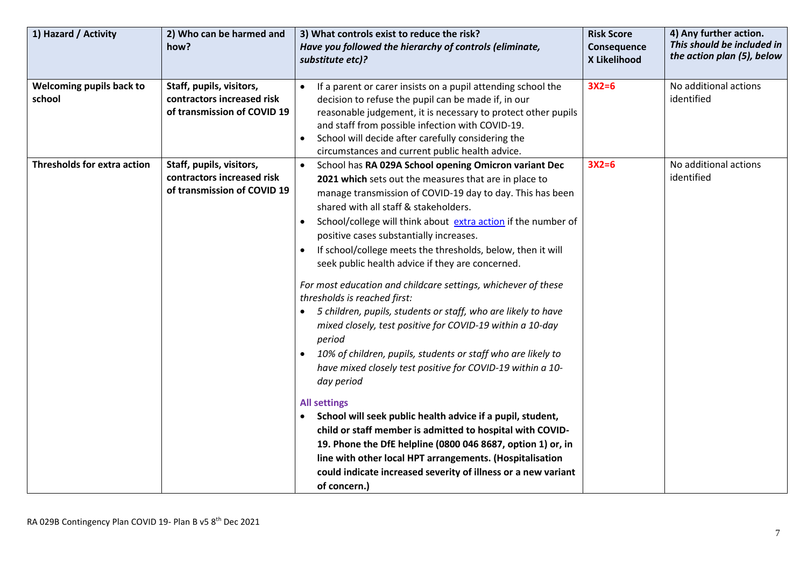| 1) Hazard / Activity               | 2) Who can be harmed and<br>how?                                                      | 3) What controls exist to reduce the risk?<br>Have you followed the hierarchy of controls (eliminate,<br>substitute etc)?                                                                                                                                                                                                                                                                                                                                                                                                                                                                                                                                                                                                                                                                                                                                                                                                                                                                                                                                                                                                                                                                                           | <b>Risk Score</b><br>Consequence<br>X Likelihood | 4) Any further action.<br>This should be included in<br>the action plan (5), below |
|------------------------------------|---------------------------------------------------------------------------------------|---------------------------------------------------------------------------------------------------------------------------------------------------------------------------------------------------------------------------------------------------------------------------------------------------------------------------------------------------------------------------------------------------------------------------------------------------------------------------------------------------------------------------------------------------------------------------------------------------------------------------------------------------------------------------------------------------------------------------------------------------------------------------------------------------------------------------------------------------------------------------------------------------------------------------------------------------------------------------------------------------------------------------------------------------------------------------------------------------------------------------------------------------------------------------------------------------------------------|--------------------------------------------------|------------------------------------------------------------------------------------|
| Welcoming pupils back to<br>school | Staff, pupils, visitors,<br>contractors increased risk<br>of transmission of COVID 19 | If a parent or carer insists on a pupil attending school the<br>$\bullet$<br>decision to refuse the pupil can be made if, in our<br>reasonable judgement, it is necessary to protect other pupils<br>and staff from possible infection with COVID-19.<br>School will decide after carefully considering the<br>circumstances and current public health advice.                                                                                                                                                                                                                                                                                                                                                                                                                                                                                                                                                                                                                                                                                                                                                                                                                                                      | $3X2=6$                                          | No additional actions<br>identified                                                |
| <b>Thresholds for extra action</b> | Staff, pupils, visitors,<br>contractors increased risk<br>of transmission of COVID 19 | School has RA 029A School opening Omicron variant Dec<br>$\bullet$<br>2021 which sets out the measures that are in place to<br>manage transmission of COVID-19 day to day. This has been<br>shared with all staff & stakeholders.<br>School/college will think about extra action if the number of<br>positive cases substantially increases.<br>If school/college meets the thresholds, below, then it will<br>seek public health advice if they are concerned.<br>For most education and childcare settings, whichever of these<br>thresholds is reached first:<br>5 children, pupils, students or staff, who are likely to have<br>mixed closely, test positive for COVID-19 within a 10-day<br>period<br>10% of children, pupils, students or staff who are likely to<br>have mixed closely test positive for COVID-19 within a 10-<br>day period<br><b>All settings</b><br>School will seek public health advice if a pupil, student,<br>child or staff member is admitted to hospital with COVID-<br>19. Phone the DfE helpline (0800 046 8687, option 1) or, in<br>line with other local HPT arrangements. (Hospitalisation<br>could indicate increased severity of illness or a new variant<br>of concern.) | $3X2=6$                                          | No additional actions<br>identified                                                |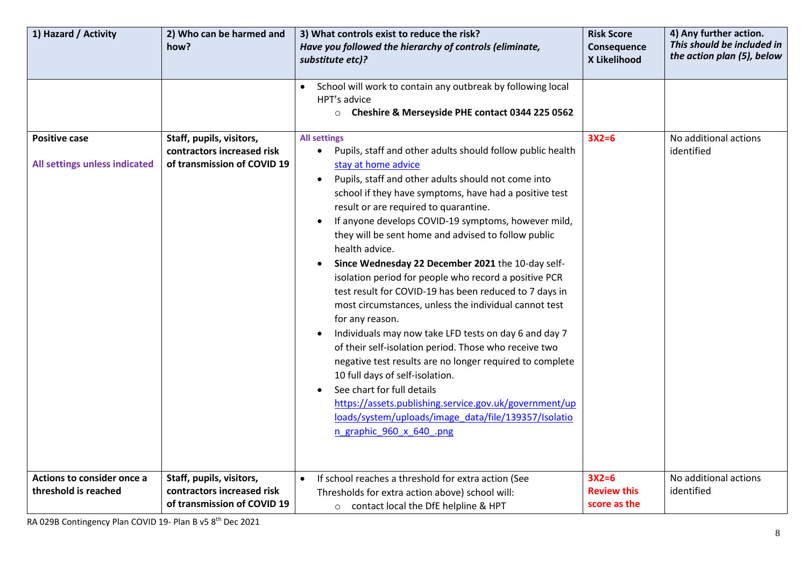| 1) Hazard / Activity                                  | 2) Who can be harmed and<br>how?                                                      | 3) What controls exist to reduce the risk?<br>Have you followed the hierarchy of controls (eliminate,<br>substitute etc)?<br>School will work to contain any outbreak by following local                                                                                                                                                                                                                                                                                                                                                                                                                                                                                                                                                                                                                                                                                                                                                                                                                                                                                      | <b>Risk Score</b><br>Consequence<br>X Likelihood | 4) Any further action.<br>This should be included in<br>the action plan (5), below |
|-------------------------------------------------------|---------------------------------------------------------------------------------------|-------------------------------------------------------------------------------------------------------------------------------------------------------------------------------------------------------------------------------------------------------------------------------------------------------------------------------------------------------------------------------------------------------------------------------------------------------------------------------------------------------------------------------------------------------------------------------------------------------------------------------------------------------------------------------------------------------------------------------------------------------------------------------------------------------------------------------------------------------------------------------------------------------------------------------------------------------------------------------------------------------------------------------------------------------------------------------|--------------------------------------------------|------------------------------------------------------------------------------------|
|                                                       |                                                                                       | HPT's advice<br>O Cheshire & Merseyside PHE contact 0344 225 0562                                                                                                                                                                                                                                                                                                                                                                                                                                                                                                                                                                                                                                                                                                                                                                                                                                                                                                                                                                                                             |                                                  |                                                                                    |
| <b>Positive case</b><br>All settings unless indicated | Staff, pupils, visitors,<br>contractors increased risk<br>of transmission of COVID 19 | <b>All settings</b><br>Pupils, staff and other adults should follow public health<br>$\bullet$<br>stay at home advice<br>Pupils, staff and other adults should not come into<br>$\bullet$<br>school if they have symptoms, have had a positive test<br>result or are required to quarantine.<br>If anyone develops COVID-19 symptoms, however mild,<br>they will be sent home and advised to follow public<br>health advice.<br>Since Wednesday 22 December 2021 the 10-day self-<br>isolation period for people who record a positive PCR<br>test result for COVID-19 has been reduced to 7 days in<br>most circumstances, unless the individual cannot test<br>for any reason.<br>Individuals may now take LFD tests on day 6 and day 7<br>of their self-isolation period. Those who receive two<br>negative test results are no longer required to complete<br>10 full days of self-isolation.<br>See chart for full details<br>https://assets.publishing.service.gov.uk/government/up<br>loads/system/uploads/image_data/file/139357/Isolatio<br>n graphic 960 x 640 .png | $3X2=6$                                          | No additional actions<br>identified                                                |
| Actions to consider once a<br>threshold is reached    | Staff, pupils, visitors,<br>contractors increased risk<br>of transmission of COVID 19 | If school reaches a threshold for extra action (See<br>$\bullet$<br>Thresholds for extra action above) school will:<br>o contact local the DfE helpline & HPT                                                                                                                                                                                                                                                                                                                                                                                                                                                                                                                                                                                                                                                                                                                                                                                                                                                                                                                 | $3X2=6$<br><b>Review this</b><br>score as the    | No additional actions<br>identified                                                |

RA 029B Contingency Plan COVID 19- Plan B v5 8<sup>th</sup> Dec 2021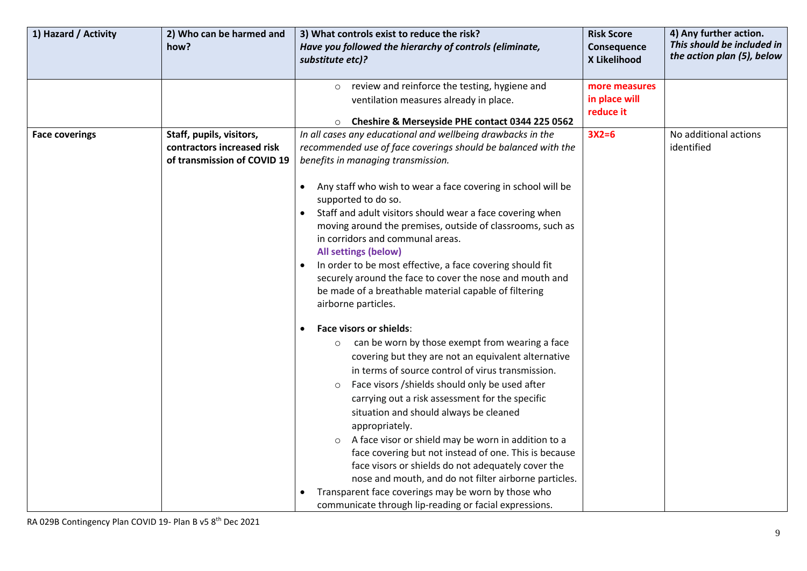| 1) Hazard / Activity  | 2) Who can be harmed and<br>how?                                                      | 3) What controls exist to reduce the risk?<br>Have you followed the hierarchy of controls (eliminate,                                                                                                                                                                                                                                                                                                                                                                                                                                                                                                                                                                                                                      | <b>Risk Score</b><br>Consequence            | 4) Any further action.<br>This should be included in |
|-----------------------|---------------------------------------------------------------------------------------|----------------------------------------------------------------------------------------------------------------------------------------------------------------------------------------------------------------------------------------------------------------------------------------------------------------------------------------------------------------------------------------------------------------------------------------------------------------------------------------------------------------------------------------------------------------------------------------------------------------------------------------------------------------------------------------------------------------------------|---------------------------------------------|------------------------------------------------------|
|                       |                                                                                       | substitute etc)?                                                                                                                                                                                                                                                                                                                                                                                                                                                                                                                                                                                                                                                                                                           | X Likelihood                                | the action plan (5), below                           |
|                       |                                                                                       | review and reinforce the testing, hygiene and<br>$\circ$<br>ventilation measures already in place.                                                                                                                                                                                                                                                                                                                                                                                                                                                                                                                                                                                                                         | more measures<br>in place will<br>reduce it |                                                      |
|                       |                                                                                       | Cheshire & Merseyside PHE contact 0344 225 0562                                                                                                                                                                                                                                                                                                                                                                                                                                                                                                                                                                                                                                                                            |                                             |                                                      |
| <b>Face coverings</b> | Staff, pupils, visitors,<br>contractors increased risk<br>of transmission of COVID 19 | In all cases any educational and wellbeing drawbacks in the<br>recommended use of face coverings should be balanced with the<br>benefits in managing transmission.                                                                                                                                                                                                                                                                                                                                                                                                                                                                                                                                                         | $3X2=6$                                     | No additional actions<br>identified                  |
|                       |                                                                                       | Any staff who wish to wear a face covering in school will be<br>supported to do so.<br>Staff and adult visitors should wear a face covering when<br>moving around the premises, outside of classrooms, such as<br>in corridors and communal areas.<br>All settings (below)<br>In order to be most effective, a face covering should fit<br>securely around the face to cover the nose and mouth and<br>be made of a breathable material capable of filtering<br>airborne particles.                                                                                                                                                                                                                                        |                                             |                                                      |
|                       |                                                                                       | <b>Face visors or shields:</b><br>can be worn by those exempt from wearing a face<br>$\circ$<br>covering but they are not an equivalent alternative<br>in terms of source control of virus transmission.<br>Face visors / shields should only be used after<br>carrying out a risk assessment for the specific<br>situation and should always be cleaned<br>appropriately.<br>A face visor or shield may be worn in addition to a<br>face covering but not instead of one. This is because<br>face visors or shields do not adequately cover the<br>nose and mouth, and do not filter airborne particles.<br>Transparent face coverings may be worn by those who<br>communicate through lip-reading or facial expressions. |                                             |                                                      |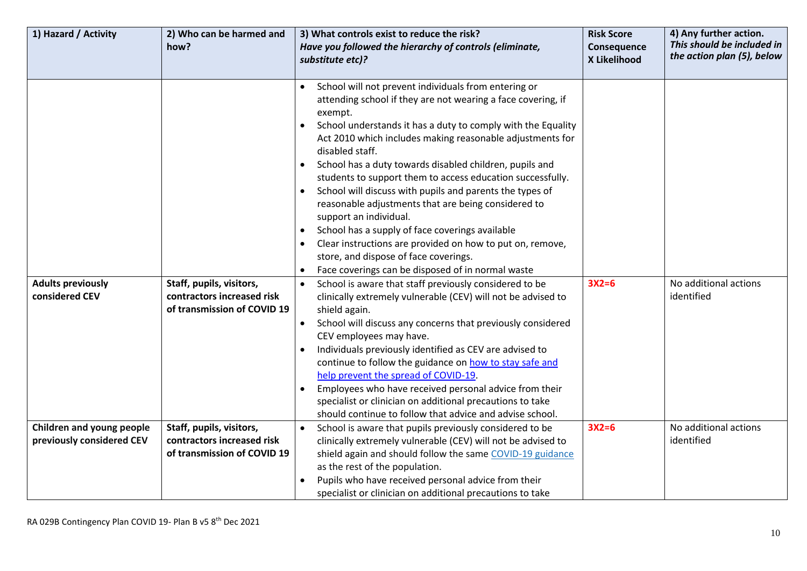| 1) Hazard / Activity                                   | 2) Who can be harmed and<br>how?                                                      | 3) What controls exist to reduce the risk?<br>Have you followed the hierarchy of controls (eliminate,<br>substitute etc)?                                                                                                                                                                                                                                                                                                                                                                                                                                                                                                                                                                                                   | <b>Risk Score</b><br>Consequence<br>X Likelihood | 4) Any further action.<br>This should be included in<br>the action plan (5), below |
|--------------------------------------------------------|---------------------------------------------------------------------------------------|-----------------------------------------------------------------------------------------------------------------------------------------------------------------------------------------------------------------------------------------------------------------------------------------------------------------------------------------------------------------------------------------------------------------------------------------------------------------------------------------------------------------------------------------------------------------------------------------------------------------------------------------------------------------------------------------------------------------------------|--------------------------------------------------|------------------------------------------------------------------------------------|
|                                                        |                                                                                       |                                                                                                                                                                                                                                                                                                                                                                                                                                                                                                                                                                                                                                                                                                                             |                                                  |                                                                                    |
|                                                        |                                                                                       | School will not prevent individuals from entering or<br>attending school if they are not wearing a face covering, if<br>exempt.<br>School understands it has a duty to comply with the Equality<br>$\bullet$<br>Act 2010 which includes making reasonable adjustments for<br>disabled staff.<br>School has a duty towards disabled children, pupils and<br>students to support them to access education successfully.<br>School will discuss with pupils and parents the types of<br>reasonable adjustments that are being considered to<br>support an individual.<br>School has a supply of face coverings available<br>Clear instructions are provided on how to put on, remove,<br>store, and dispose of face coverings. |                                                  |                                                                                    |
|                                                        |                                                                                       | Face coverings can be disposed of in normal waste                                                                                                                                                                                                                                                                                                                                                                                                                                                                                                                                                                                                                                                                           |                                                  |                                                                                    |
| <b>Adults previously</b><br>considered CEV             | Staff, pupils, visitors,<br>contractors increased risk<br>of transmission of COVID 19 | School is aware that staff previously considered to be<br>clinically extremely vulnerable (CEV) will not be advised to<br>shield again.<br>School will discuss any concerns that previously considered<br>CEV employees may have.<br>Individuals previously identified as CEV are advised to<br>continue to follow the guidance on how to stay safe and<br>help prevent the spread of COVID-19.<br>Employees who have received personal advice from their<br>specialist or clinician on additional precautions to take<br>should continue to follow that advice and advise school.                                                                                                                                          | $3X2=6$                                          | No additional actions<br>identified                                                |
| Children and young people<br>previously considered CEV | Staff, pupils, visitors,<br>contractors increased risk<br>of transmission of COVID 19 | School is aware that pupils previously considered to be<br>$\bullet$<br>clinically extremely vulnerable (CEV) will not be advised to<br>shield again and should follow the same COVID-19 guidance<br>as the rest of the population.<br>Pupils who have received personal advice from their<br>specialist or clinician on additional precautions to take                                                                                                                                                                                                                                                                                                                                                                     | $3X2=6$                                          | No additional actions<br>identified                                                |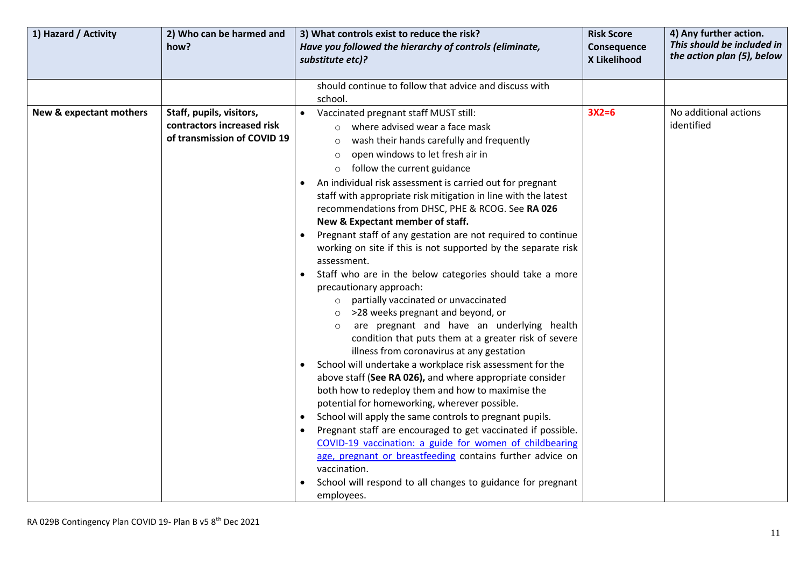| the action plan (5), below<br>X Likelihood<br>substitute etc)?<br>should continue to follow that advice and discuss with<br>school.<br>$3X2=6$<br>No additional actions<br>New & expectant mothers<br>Staff, pupils, visitors,<br>Vaccinated pregnant staff MUST still:<br>$\bullet$<br>identified<br>contractors increased risk<br>where advised wear a face mask<br>$\circ$                                                                                                                                                                                                                                                                                                                                                                                                                                                                                                                                                                                                                                                                                                                                                                                                                                                                                                                                                                                                                                                                                                      | 1) Hazard / Activity<br>2) Who can be harmed and<br>how? |
|------------------------------------------------------------------------------------------------------------------------------------------------------------------------------------------------------------------------------------------------------------------------------------------------------------------------------------------------------------------------------------------------------------------------------------------------------------------------------------------------------------------------------------------------------------------------------------------------------------------------------------------------------------------------------------------------------------------------------------------------------------------------------------------------------------------------------------------------------------------------------------------------------------------------------------------------------------------------------------------------------------------------------------------------------------------------------------------------------------------------------------------------------------------------------------------------------------------------------------------------------------------------------------------------------------------------------------------------------------------------------------------------------------------------------------------------------------------------------------|----------------------------------------------------------|
|                                                                                                                                                                                                                                                                                                                                                                                                                                                                                                                                                                                                                                                                                                                                                                                                                                                                                                                                                                                                                                                                                                                                                                                                                                                                                                                                                                                                                                                                                    |                                                          |
|                                                                                                                                                                                                                                                                                                                                                                                                                                                                                                                                                                                                                                                                                                                                                                                                                                                                                                                                                                                                                                                                                                                                                                                                                                                                                                                                                                                                                                                                                    |                                                          |
| of transmission of COVID 19<br>wash their hands carefully and frequently<br>$\circ$<br>open windows to let fresh air in<br>$\circ$<br>follow the current guidance<br>$\circ$<br>An individual risk assessment is carried out for pregnant<br>staff with appropriate risk mitigation in line with the latest<br>recommendations from DHSC, PHE & RCOG. See RA 026<br>New & Expectant member of staff.<br>Pregnant staff of any gestation are not required to continue<br>working on site if this is not supported by the separate risk<br>assessment.<br>Staff who are in the below categories should take a more<br>precautionary approach:<br>partially vaccinated or unvaccinated<br>$\circ$<br>>28 weeks pregnant and beyond, or<br>are pregnant and have an underlying health<br>condition that puts them at a greater risk of severe<br>illness from coronavirus at any gestation<br>School will undertake a workplace risk assessment for the<br>above staff (See RA 026), and where appropriate consider<br>both how to redeploy them and how to maximise the<br>potential for homeworking, wherever possible.<br>School will apply the same controls to pregnant pupils.<br>$\bullet$<br>Pregnant staff are encouraged to get vaccinated if possible.<br>COVID-19 vaccination: a guide for women of childbearing<br>age, pregnant or breastfeeding contains further advice on<br>vaccination.<br>School will respond to all changes to guidance for pregnant<br>employees. |                                                          |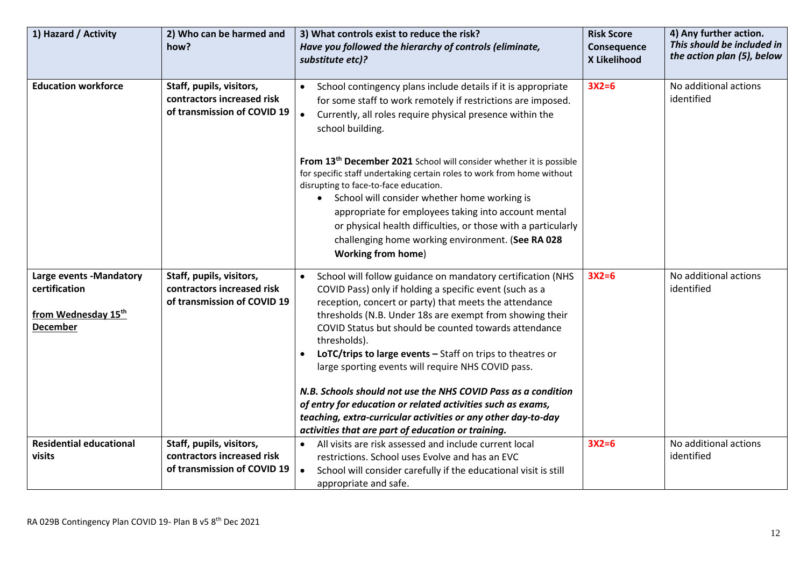| 1) Hazard / Activity                                                               | 2) Who can be harmed and<br>how?                                                      | 3) What controls exist to reduce the risk?<br>Have you followed the hierarchy of controls (eliminate,<br>substitute etc)?                                                                                                                                                                                                                                                                                                                                                                                                                                                                                                                                                                                     | <b>Risk Score</b><br>Consequence<br>X Likelihood | 4) Any further action.<br>This should be included in<br>the action plan (5), below |
|------------------------------------------------------------------------------------|---------------------------------------------------------------------------------------|---------------------------------------------------------------------------------------------------------------------------------------------------------------------------------------------------------------------------------------------------------------------------------------------------------------------------------------------------------------------------------------------------------------------------------------------------------------------------------------------------------------------------------------------------------------------------------------------------------------------------------------------------------------------------------------------------------------|--------------------------------------------------|------------------------------------------------------------------------------------|
| <b>Education workforce</b>                                                         | Staff, pupils, visitors,<br>contractors increased risk<br>of transmission of COVID 19 | School contingency plans include details if it is appropriate<br>$\bullet$<br>for some staff to work remotely if restrictions are imposed.<br>Currently, all roles require physical presence within the<br>$\bullet$<br>school building.<br>From 13 <sup>th</sup> December 2021 School will consider whether it is possible<br>for specific staff undertaking certain roles to work from home without<br>disrupting to face-to-face education.<br>• School will consider whether home working is<br>appropriate for employees taking into account mental<br>or physical health difficulties, or those with a particularly<br>challenging home working environment. (See RA 028<br><b>Working from home)</b>   | $3X2=6$                                          | No additional actions<br>identified                                                |
| Large events -Mandatory<br>certification<br>from Wednesday 15th<br><b>December</b> | Staff, pupils, visitors,<br>contractors increased risk<br>of transmission of COVID 19 | School will follow guidance on mandatory certification (NHS<br>$\bullet$<br>COVID Pass) only if holding a specific event (such as a<br>reception, concert or party) that meets the attendance<br>thresholds (N.B. Under 18s are exempt from showing their<br>COVID Status but should be counted towards attendance<br>thresholds).<br>LoTC/trips to large events - Staff on trips to theatres or<br>large sporting events will require NHS COVID pass.<br>N.B. Schools should not use the NHS COVID Pass as a condition<br>of entry for education or related activities such as exams,<br>teaching, extra-curricular activities or any other day-to-day<br>activities that are part of education or training. | $3X2=6$                                          | No additional actions<br>identified                                                |
| <b>Residential educational</b><br>visits                                           | Staff, pupils, visitors,<br>contractors increased risk<br>of transmission of COVID 19 | All visits are risk assessed and include current local<br>$\bullet$<br>restrictions. School uses Evolve and has an EVC<br>School will consider carefully if the educational visit is still<br>$\bullet$<br>appropriate and safe.                                                                                                                                                                                                                                                                                                                                                                                                                                                                              | $3X2=6$                                          | No additional actions<br>identified                                                |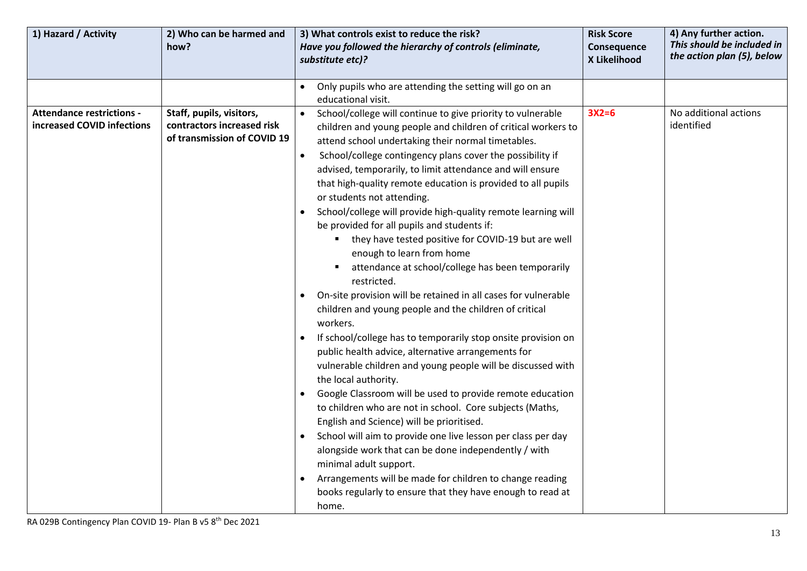| 1) Hazard / Activity                                           | 2) Who can be harmed and<br>how?                                                      | 3) What controls exist to reduce the risk?<br>Have you followed the hierarchy of controls (eliminate,<br>substitute etc)?                                                                                                                                                                                                                                                                                                                                                                                                                                                                                                                                                                                                                                                                                                                                                                                                                                                                                                                                                                                                                                                                                                                                                                                                                                                                                                                                                                                        | <b>Risk Score</b><br>Consequence<br>X Likelihood | 4) Any further action.<br>This should be included in<br>the action plan (5), below |
|----------------------------------------------------------------|---------------------------------------------------------------------------------------|------------------------------------------------------------------------------------------------------------------------------------------------------------------------------------------------------------------------------------------------------------------------------------------------------------------------------------------------------------------------------------------------------------------------------------------------------------------------------------------------------------------------------------------------------------------------------------------------------------------------------------------------------------------------------------------------------------------------------------------------------------------------------------------------------------------------------------------------------------------------------------------------------------------------------------------------------------------------------------------------------------------------------------------------------------------------------------------------------------------------------------------------------------------------------------------------------------------------------------------------------------------------------------------------------------------------------------------------------------------------------------------------------------------------------------------------------------------------------------------------------------------|--------------------------------------------------|------------------------------------------------------------------------------------|
|                                                                |                                                                                       | Only pupils who are attending the setting will go on an<br>educational visit.                                                                                                                                                                                                                                                                                                                                                                                                                                                                                                                                                                                                                                                                                                                                                                                                                                                                                                                                                                                                                                                                                                                                                                                                                                                                                                                                                                                                                                    |                                                  |                                                                                    |
| <b>Attendance restrictions -</b><br>increased COVID infections | Staff, pupils, visitors,<br>contractors increased risk<br>of transmission of COVID 19 | School/college will continue to give priority to vulnerable<br>$\bullet$<br>children and young people and children of critical workers to<br>attend school undertaking their normal timetables.<br>School/college contingency plans cover the possibility if<br>advised, temporarily, to limit attendance and will ensure<br>that high-quality remote education is provided to all pupils<br>or students not attending.<br>School/college will provide high-quality remote learning will<br>be provided for all pupils and students if:<br>they have tested positive for COVID-19 but are well<br>enough to learn from home<br>attendance at school/college has been temporarily<br>restricted.<br>On-site provision will be retained in all cases for vulnerable<br>children and young people and the children of critical<br>workers.<br>If school/college has to temporarily stop onsite provision on<br>public health advice, alternative arrangements for<br>vulnerable children and young people will be discussed with<br>the local authority.<br>Google Classroom will be used to provide remote education<br>to children who are not in school. Core subjects (Maths,<br>English and Science) will be prioritised.<br>School will aim to provide one live lesson per class per day<br>alongside work that can be done independently / with<br>minimal adult support.<br>Arrangements will be made for children to change reading<br>books regularly to ensure that they have enough to read at<br>home. | $3X2=6$                                          | No additional actions<br>identified                                                |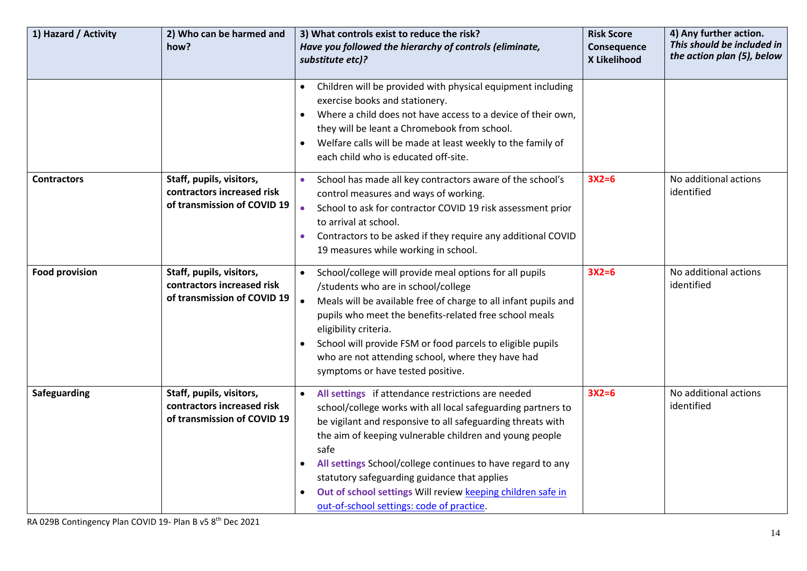| 1) Hazard / Activity  | 2) Who can be harmed and<br>how?                                                      | 3) What controls exist to reduce the risk?<br>Have you followed the hierarchy of controls (eliminate,<br>substitute etc)?                                                                                                                                                                                                                                                                                                                                                                    | <b>Risk Score</b><br>Consequence<br>X Likelihood | 4) Any further action.<br>This should be included in<br>the action plan (5), below |
|-----------------------|---------------------------------------------------------------------------------------|----------------------------------------------------------------------------------------------------------------------------------------------------------------------------------------------------------------------------------------------------------------------------------------------------------------------------------------------------------------------------------------------------------------------------------------------------------------------------------------------|--------------------------------------------------|------------------------------------------------------------------------------------|
|                       |                                                                                       | Children will be provided with physical equipment including<br>exercise books and stationery.<br>Where a child does not have access to a device of their own,<br>$\bullet$<br>they will be leant a Chromebook from school.<br>Welfare calls will be made at least weekly to the family of<br>$\bullet$<br>each child who is educated off-site.                                                                                                                                               |                                                  |                                                                                    |
| <b>Contractors</b>    | Staff, pupils, visitors,<br>contractors increased risk<br>of transmission of COVID 19 | School has made all key contractors aware of the school's<br>$\bullet$<br>control measures and ways of working.<br>School to ask for contractor COVID 19 risk assessment prior<br>$\bullet$<br>to arrival at school.<br>Contractors to be asked if they require any additional COVID<br>$\bullet$<br>19 measures while working in school.                                                                                                                                                    | $3X2=6$                                          | No additional actions<br>identified                                                |
| <b>Food provision</b> | Staff, pupils, visitors,<br>contractors increased risk<br>of transmission of COVID 19 | School/college will provide meal options for all pupils<br>/students who are in school/college<br>Meals will be available free of charge to all infant pupils and<br>$\bullet$<br>pupils who meet the benefits-related free school meals<br>eligibility criteria.<br>School will provide FSM or food parcels to eligible pupils<br>who are not attending school, where they have had<br>symptoms or have tested positive.                                                                    | $3X2=6$                                          | No additional actions<br>identified                                                |
| Safeguarding          | Staff, pupils, visitors,<br>contractors increased risk<br>of transmission of COVID 19 | All settings if attendance restrictions are needed<br>$\bullet$<br>school/college works with all local safeguarding partners to<br>be vigilant and responsive to all safeguarding threats with<br>the aim of keeping vulnerable children and young people<br>safe<br>All settings School/college continues to have regard to any<br>statutory safeguarding guidance that applies<br>Out of school settings Will review keeping children safe in<br>out-of-school settings: code of practice. | $3X2=6$                                          | No additional actions<br>identified                                                |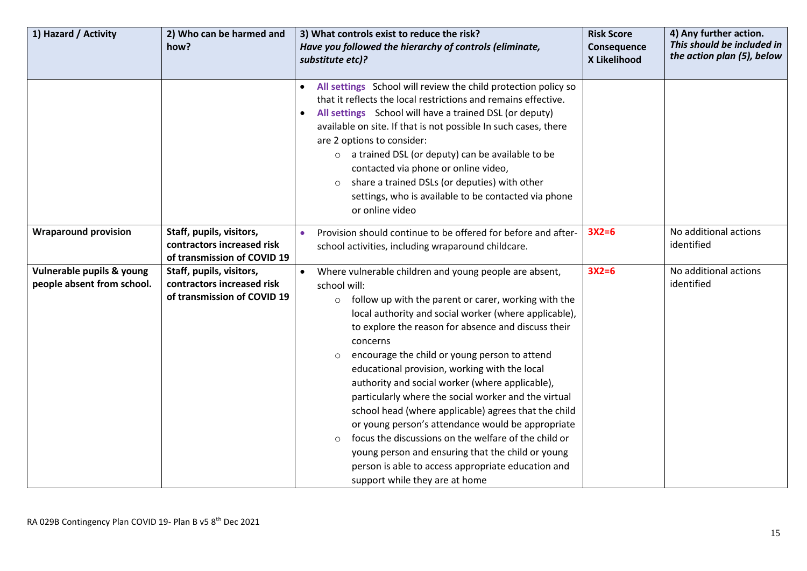| 1) Hazard / Activity                                    | 2) Who can be harmed and<br>how?                                                      | 3) What controls exist to reduce the risk?<br>Have you followed the hierarchy of controls (eliminate,<br>substitute etc)?                                                                                                                                                                                                                                                                                                                                                                                                                                                                                                                                                                                                                                                                                            | <b>Risk Score</b><br>Consequence<br>X Likelihood | 4) Any further action.<br>This should be included in<br>the action plan (5), below |
|---------------------------------------------------------|---------------------------------------------------------------------------------------|----------------------------------------------------------------------------------------------------------------------------------------------------------------------------------------------------------------------------------------------------------------------------------------------------------------------------------------------------------------------------------------------------------------------------------------------------------------------------------------------------------------------------------------------------------------------------------------------------------------------------------------------------------------------------------------------------------------------------------------------------------------------------------------------------------------------|--------------------------------------------------|------------------------------------------------------------------------------------|
|                                                         |                                                                                       | All settings School will review the child protection policy so<br>$\bullet$<br>that it reflects the local restrictions and remains effective.<br>All settings School will have a trained DSL (or deputy)<br>$\bullet$<br>available on site. If that is not possible In such cases, there<br>are 2 options to consider:<br>a trained DSL (or deputy) can be available to be<br>$\circ$<br>contacted via phone or online video,<br>share a trained DSLs (or deputies) with other<br>$\circ$<br>settings, who is available to be contacted via phone<br>or online video                                                                                                                                                                                                                                                 |                                                  |                                                                                    |
| <b>Wraparound provision</b>                             | Staff, pupils, visitors,<br>contractors increased risk<br>of transmission of COVID 19 | Provision should continue to be offered for before and after-<br>$\bullet$<br>school activities, including wraparound childcare.                                                                                                                                                                                                                                                                                                                                                                                                                                                                                                                                                                                                                                                                                     | $3X2=6$                                          | No additional actions<br>identified                                                |
| Vulnerable pupils & young<br>people absent from school. | Staff, pupils, visitors,<br>contractors increased risk<br>of transmission of COVID 19 | Where vulnerable children and young people are absent,<br>school will:<br>follow up with the parent or carer, working with the<br>O<br>local authority and social worker (where applicable),<br>to explore the reason for absence and discuss their<br>concerns<br>encourage the child or young person to attend<br>$\circ$<br>educational provision, working with the local<br>authority and social worker (where applicable),<br>particularly where the social worker and the virtual<br>school head (where applicable) agrees that the child<br>or young person's attendance would be appropriate<br>focus the discussions on the welfare of the child or<br>$\circ$<br>young person and ensuring that the child or young<br>person is able to access appropriate education and<br>support while they are at home | $3X2=6$                                          | No additional actions<br>identified                                                |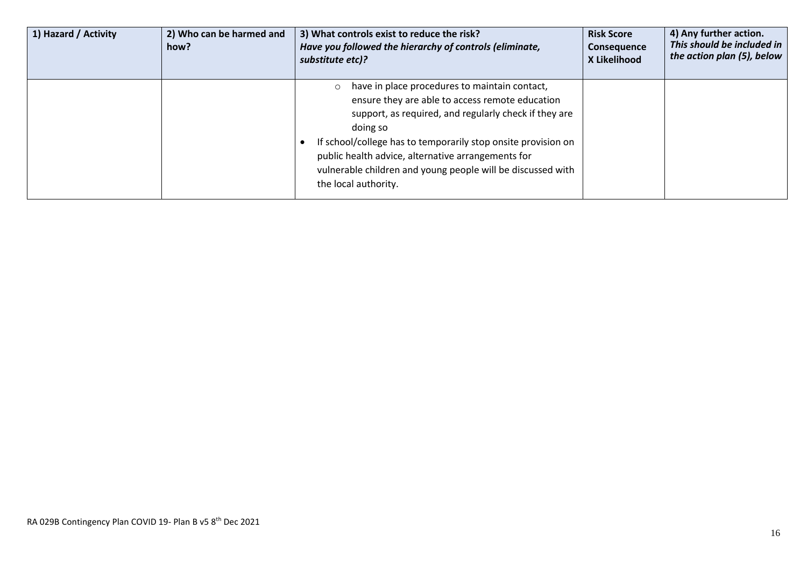| 1) Hazard / Activity | 2) Who can be harmed and<br>how? | 3) What controls exist to reduce the risk?<br>Have you followed the hierarchy of controls (eliminate,<br>substitute etc)?                                                                                                                                                                                                                                                                      | <b>Risk Score</b><br>Consequence<br>X Likelihood | 4) Any further action.<br>This should be included in<br>the action plan (5), below |
|----------------------|----------------------------------|------------------------------------------------------------------------------------------------------------------------------------------------------------------------------------------------------------------------------------------------------------------------------------------------------------------------------------------------------------------------------------------------|--------------------------------------------------|------------------------------------------------------------------------------------|
|                      |                                  | have in place procedures to maintain contact,<br>$\circ$<br>ensure they are able to access remote education<br>support, as required, and regularly check if they are<br>doing so<br>If school/college has to temporarily stop onsite provision on<br>public health advice, alternative arrangements for<br>vulnerable children and young people will be discussed with<br>the local authority. |                                                  |                                                                                    |